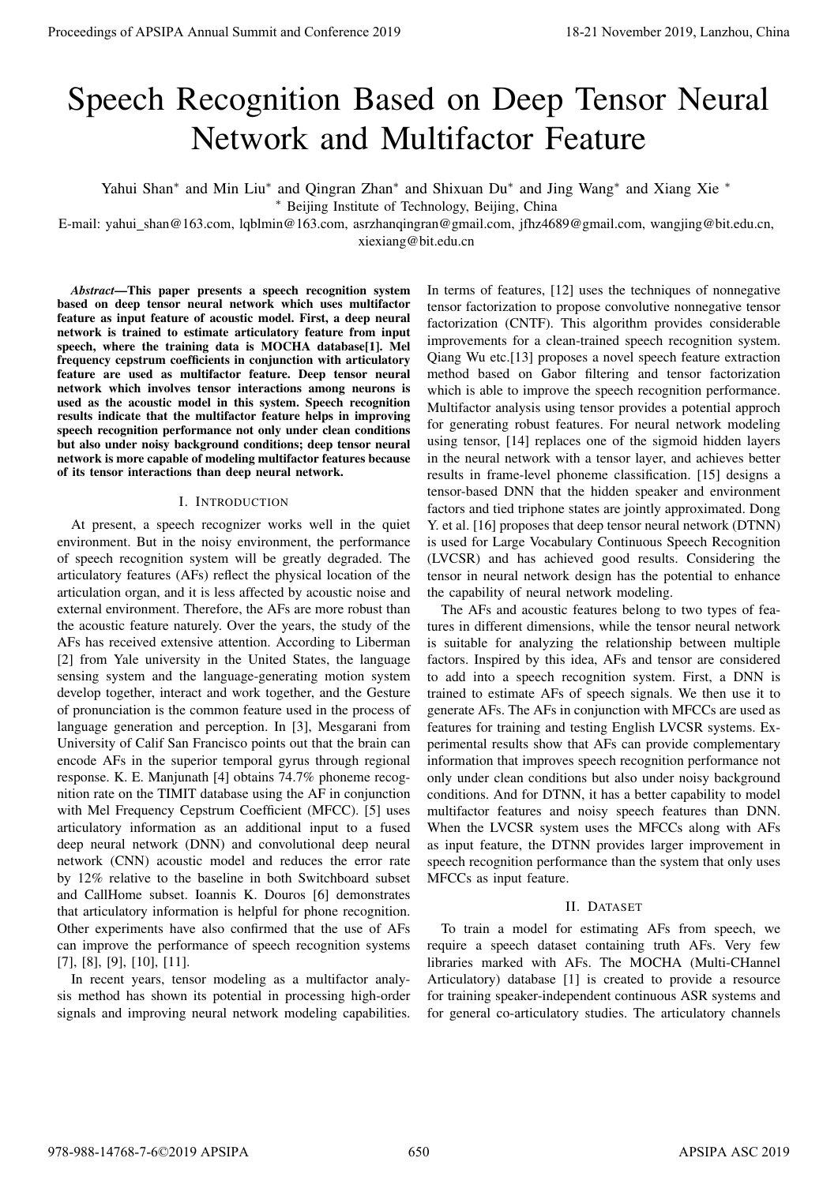# Speech Recognition Based on Deep Tensor Neural Network and Multifactor Feature

Yahui Shan<sup>∗</sup> and Min Liu<sup>\*</sup> and Qingran Zhan<sup>\*</sup> and Shixuan Du<sup>\*</sup> and Jing Wang<sup>\*</sup> and Xiang Xie<sup>\*</sup>

<sup>∗</sup> Beijing Institute of Technology, Beijing, China

E-mail: yahui shan@163.com, lqblmin@163.com, asrzhanqingran@gmail.com, jfhz4689@gmail.com, wangjing@bit.edu.cn, xiexiang@bit.edu.cn

*Abstract*—This paper presents a speech recognition system based on deep tensor neural network which uses multifactor feature as input feature of acoustic model. First, a deep neural network is trained to estimate articulatory feature from input speech, where the training data is MOCHA database[1]. Mel frequency cepstrum coefficients in conjunction with articulatory feature are used as multifactor feature. Deep tensor neural network which involves tensor interactions among neurons is used as the acoustic model in this system. Speech recognition results indicate that the multifactor feature helps in improving speech recognition performance not only under clean conditions but also under noisy background conditions; deep tensor neural network is more capable of modeling multifactor features because of its tensor interactions than deep neural network.

## I. INTRODUCTION

At present, a speech recognizer works well in the quiet environment. But in the noisy environment, the performance of speech recognition system will be greatly degraded. The articulatory features (AFs) reflect the physical location of the articulation organ, and it is less affected by acoustic noise and external environment. Therefore, the AFs are more robust than the acoustic feature naturely. Over the years, the study of the AFs has received extensive attention. According to Liberman [2] from Yale university in the United States, the language sensing system and the language-generating motion system develop together, interact and work together, and the Gesture of pronunciation is the common feature used in the process of language generation and perception. In [3], Mesgarani from University of Calif San Francisco points out that the brain can encode AFs in the superior temporal gyrus through regional response. K. E. Manjunath [4] obtains 74.7% phoneme recognition rate on the TIMIT database using the AF in conjunction with Mel Frequency Cepstrum Coefficient (MFCC). [5] uses articulatory information as an additional input to a fused deep neural network (DNN) and convolutional deep neural network (CNN) acoustic model and reduces the error rate by 12% relative to the baseline in both Switchboard subset and CallHome subset. Ioannis K. Douros [6] demonstrates that articulatory information is helpful for phone recognition. Other experiments have also confirmed that the use of AFs can improve the performance of speech recognition systems [7], [8], [9], [10], [11]. **Proceedings of APSIPA Annual Summit and Conference 2019**<br>
Specific Recognition Based on Deep Tensor Neumal Summit and Conference 2019<br>
The result and the line of deposition Based on Delaye Repubble 2019, November 2019<br>
E

In recent years, tensor modeling as a multifactor analysis method has shown its potential in processing high-order signals and improving neural network modeling capabilities.

In terms of features, [12] uses the techniques of nonnegative tensor factorization to propose convolutive nonnegative tensor factorization (CNTF). This algorithm provides considerable improvements for a clean-trained speech recognition system. Qiang Wu etc.[13] proposes a novel speech feature extraction method based on Gabor filtering and tensor factorization which is able to improve the speech recognition performance. Multifactor analysis using tensor provides a potential approch for generating robust features. For neural network modeling using tensor, [14] replaces one of the sigmoid hidden layers in the neural network with a tensor layer, and achieves better results in frame-level phoneme classification. [15] designs a tensor-based DNN that the hidden speaker and environment factors and tied triphone states are jointly approximated. Dong Y. et al. [16] proposes that deep tensor neural network (DTNN) is used for Large Vocabulary Continuous Speech Recognition (LVCSR) and has achieved good results. Considering the tensor in neural network design has the potential to enhance the capability of neural network modeling.

The AFs and acoustic features belong to two types of features in different dimensions, while the tensor neural network is suitable for analyzing the relationship between multiple factors. Inspired by this idea, AFs and tensor are considered to add into a speech recognition system. First, a DNN is trained to estimate AFs of speech signals. We then use it to generate AFs. The AFs in conjunction with MFCCs are used as features for training and testing English LVCSR systems. Experimental results show that AFs can provide complementary information that improves speech recognition performance not only under clean conditions but also under noisy background conditions. And for DTNN, it has a better capability to model multifactor features and noisy speech features than DNN. When the LVCSR system uses the MFCCs along with AFs as input feature, the DTNN provides larger improvement in speech recognition performance than the system that only uses MFCCs as input feature.

## II. DATASET

To train a model for estimating AFs from speech, we require a speech dataset containing truth AFs. Very few libraries marked with AFs. The MOCHA (Multi-CHannel Articulatory) database [1] is created to provide a resource for training speaker-independent continuous ASR systems and for general co-articulatory studies. The articulatory channels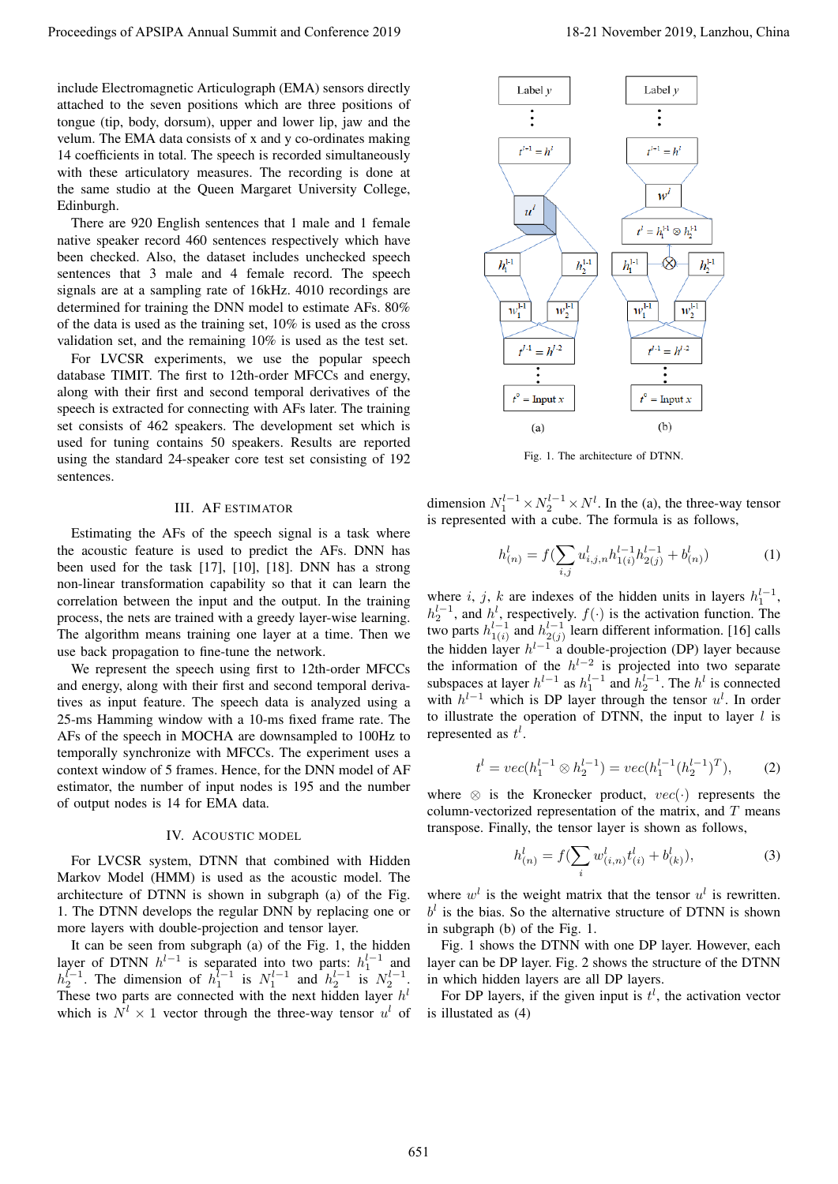include Electromagnetic Articulograph (EMA) sensors directly attached to the seven positions which are three positions of tongue (tip, body, dorsum), upper and lower lip, jaw and the velum. The EMA data consists of x and y co-ordinates making 14 coefficients in total. The speech is recorded simultaneously with these articulatory measures. The recording is done at the same studio at the Queen Margaret University College, Edinburgh.

There are 920 English sentences that 1 male and 1 female native speaker record 460 sentences respectively which have been checked. Also, the dataset includes unchecked speech sentences that 3 male and 4 female record. The speech signals are at a sampling rate of 16kHz. 4010 recordings are determined for training the DNN model to estimate AFs. 80% of the data is used as the training set, 10% is used as the cross validation set, and the remaining 10% is used as the test set.

For LVCSR experiments, we use the popular speech database TIMIT. The first to 12th-order MFCCs and energy, along with their first and second temporal derivatives of the speech is extracted for connecting with AFs later. The training set consists of 462 speakers. The development set which is used for tuning contains 50 speakers. Results are reported using the standard 24-speaker core test set consisting of 192 sentences.

## III. AF ESTIMATOR

Estimating the AFs of the speech signal is a task where the acoustic feature is used to predict the AFs. DNN has been used for the task [17], [10], [18]. DNN has a strong non-linear transformation capability so that it can learn the correlation between the input and the output. In the training process, the nets are trained with a greedy layer-wise learning. The algorithm means training one layer at a time. Then we use back propagation to fine-tune the network.

We represent the speech using first to 12th-order MFCCs and energy, along with their first and second temporal derivatives as input feature. The speech data is analyzed using a 25-ms Hamming window with a 10-ms fixed frame rate. The AFs of the speech in MOCHA are downsampled to 100Hz to temporally synchronize with MFCCs. The experiment uses a context window of 5 frames. Hence, for the DNN model of AF estimator, the number of input nodes is 195 and the number of output nodes is 14 for EMA data.

#### IV. ACOUSTIC MODEL

For LVCSR system, DTNN that combined with Hidden Markov Model (HMM) is used as the acoustic model. The architecture of DTNN is shown in subgraph (a) of the Fig. 1. The DTNN develops the regular DNN by replacing one or more layers with double-projection and tensor layer.

It can be seen from subgraph (a) of the Fig. 1, the hidden layer of DTNN  $h^{l-1}$  is separated into two parts:  $h_1^{l-1}$  and  $h_2^{l-1}$ . The dimension of  $h_1^{l-1}$  is  $N_1^{l-1}$  and  $h_2^{l-1}$  is  $N_2^{l-1}$ . These two parts are connected with the next hidden layer  $h<sup>l</sup>$ which is  $N^l \times 1$  vector through the three-way tensor  $u^l$  of



Fig. 1. The architecture of DTNN.

dimension  $N_1^{l-1} \times N_2^{l-1} \times N^l$ . In the (a), the three-way tensor is represented with a cube. The formula is as follows,

$$
h_{(n)}^l = f(\sum_{i,j} u_{i,j,n}^l h_{1(i)}^{l-1} h_{2(j)}^{l-1} + b_{(n)}^l)
$$
 (1)

where i, j, k are indexes of the hidden units in layers  $h_1^{l-1}$ ,  $h_2^{l-1}$ , and  $h^l$ , respectively.  $f(\cdot)$  is the activation function. The two parts  $h_{1(i)}^{l-1}$  and  $h_{2(j)}^{l-1}$  learn different information. [16] calls the hidden layer  $h^{l-1}$  a double-projection (DP) layer because the information of the  $h^{l-2}$  is projected into two separate subspaces at layer  $h^{l-1}$  as  $h_1^{l-1}$  and  $h_2^{l-1}$ . The  $h^l$  is connected with  $h^{l-1}$  which is DP layer through the tensor  $u^l$ . In order to illustrate the operation of DTNN, the input to layer  $l$  is represented as  $t^l$ .

$$
t^{l} = vec(h_1^{l-1} \otimes h_2^{l-1}) = vec(h_1^{l-1}(h_2^{l-1})^T),
$$
 (2)

where  $\otimes$  is the Kronecker product,  $vec(\cdot)$  represents the column-vectorized representation of the matrix, and  $T$  means transpose. Finally, the tensor layer is shown as follows,

$$
h_{(n)}^l = f(\sum_i w_{(i,n)}^l t_{(i)}^l + b_{(k)}^l),
$$
\n(3)

where  $w<sup>l</sup>$  is the weight matrix that the tensor  $u<sup>l</sup>$  is rewritten.  $b<sup>l</sup>$  is the bias. So the alternative structure of DTNN is shown in subgraph (b) of the Fig. 1.

Fig. 1 shows the DTNN with one DP layer. However, each layer can be DP layer. Fig. 2 shows the structure of the DTNN in which hidden layers are all DP layers.

For DP layers, if the given input is  $t^l$ , the activation vector is illustated as (4)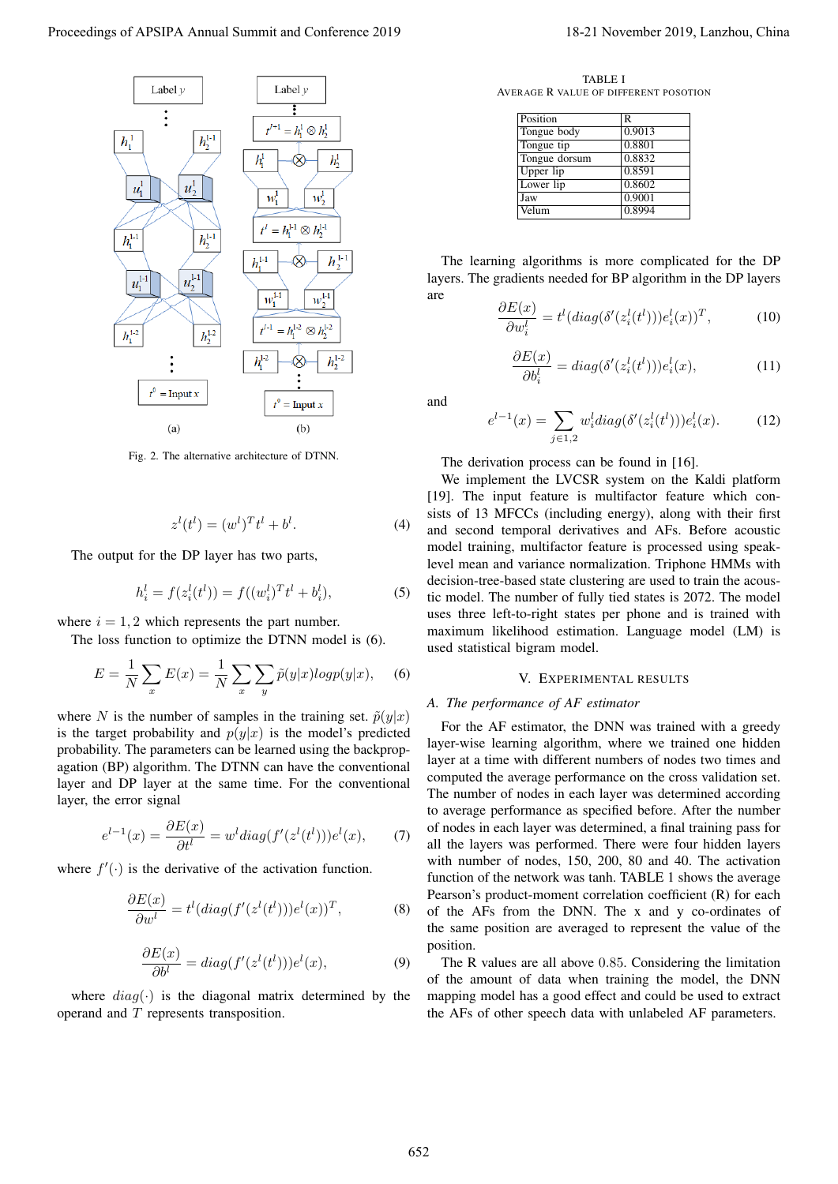

Fig. 2. The alternative architecture of DTNN.

$$
zl(tl) = (wl)Ttl + bl.
$$
 (4)

The output for the DP layer has two parts,

$$
h_i^l = f(z_i^l(t^l)) = f((w_i^l)^T t^l + b_i^l),
$$
\n(5)

where  $i = 1, 2$  which represents the part number.

The loss function to optimize the DTNN model is (6).

$$
E = \frac{1}{N} \sum_{x} E(x) = \frac{1}{N} \sum_{x} \sum_{y} \tilde{p}(y|x) log p(y|x), \quad (6)
$$

where N is the number of samples in the training set.  $\tilde{p}(y|x)$ is the target probability and  $p(y|x)$  is the model's predicted probability. The parameters can be learned using the backpropagation (BP) algorithm. The DTNN can have the conventional layer and DP layer at the same time. For the conventional layer, the error signal

$$
e^{l-1}(x) = \frac{\partial E(x)}{\partial t^l} = w^l \operatorname{diag}(f'(z^l(t^l))) e^l(x), \qquad (7)
$$

where  $f'(\cdot)$  is the derivative of the activation function.

$$
\frac{\partial E(x)}{\partial w^l} = t^l (diag(f'(z^l(t^l)))e^l(x))^T, \tag{8}
$$

$$
\frac{\partial E(x)}{\partial b^l} = diag(f'(z^l(t^l)))e^l(x),\tag{9}
$$

where  $diag(\cdot)$  is the diagonal matrix determined by the operand and T represents transposition.

TABLE I AVERAGE R VALUE OF DIFFERENT POSOTION

| R.     |
|--------|
| 0.9013 |
| 0.8801 |
| 0.8832 |
| 0.8591 |
| 0.8602 |
| 0.9001 |
| 0.8994 |
|        |

The learning algorithms is more complicated for the DP layers. The gradients needed for BP algorithm in the DP layers are

$$
\frac{\partial E(x)}{\partial w_i^l} = t^l (diag(\delta'(z_i^l(t^l))) e_i^l(x))^T, \tag{10}
$$

$$
\frac{\partial E(x)}{\partial b_i^l} = diag(\delta'(z_i^l(t^l)))e_i^l(x),\tag{11}
$$

and

$$
e^{l-1}(x) = \sum_{j \in 1,2} w_i^l \operatorname{diag}(\delta'(z_i^l(t^l))) e_i^l(x). \tag{12}
$$

The derivation process can be found in [16].

We implement the LVCSR system on the Kaldi platform [19]. The input feature is multifactor feature which consists of 13 MFCCs (including energy), along with their first and second temporal derivatives and AFs. Before acoustic model training, multifactor feature is processed using speaklevel mean and variance normalization. Triphone HMMs with decision-tree-based state clustering are used to train the acoustic model. The number of fully tied states is 2072. The model uses three left-to-right states per phone and is trained with maximum likelihood estimation. Language model (LM) is used statistical bigram model.

## V. EXPERIMENTAL RESULTS

## *A. The performance of AF estimator*

For the AF estimator, the DNN was trained with a greedy layer-wise learning algorithm, where we trained one hidden layer at a time with different numbers of nodes two times and computed the average performance on the cross validation set. The number of nodes in each layer was determined according to average performance as specified before. After the number of nodes in each layer was determined, a final training pass for all the layers was performed. There were four hidden layers with number of nodes, 150, 200, 80 and 40. The activation function of the network was tanh. TABLE 1 shows the average Pearson's product-moment correlation coefficient (R) for each of the AFs from the DNN. The x and y co-ordinates of the same position are averaged to represent the value of the position.

The R values are all above 0.85. Considering the limitation of the amount of data when training the model, the DNN mapping model has a good effect and could be used to extract the AFs of other speech data with unlabeled AF parameters.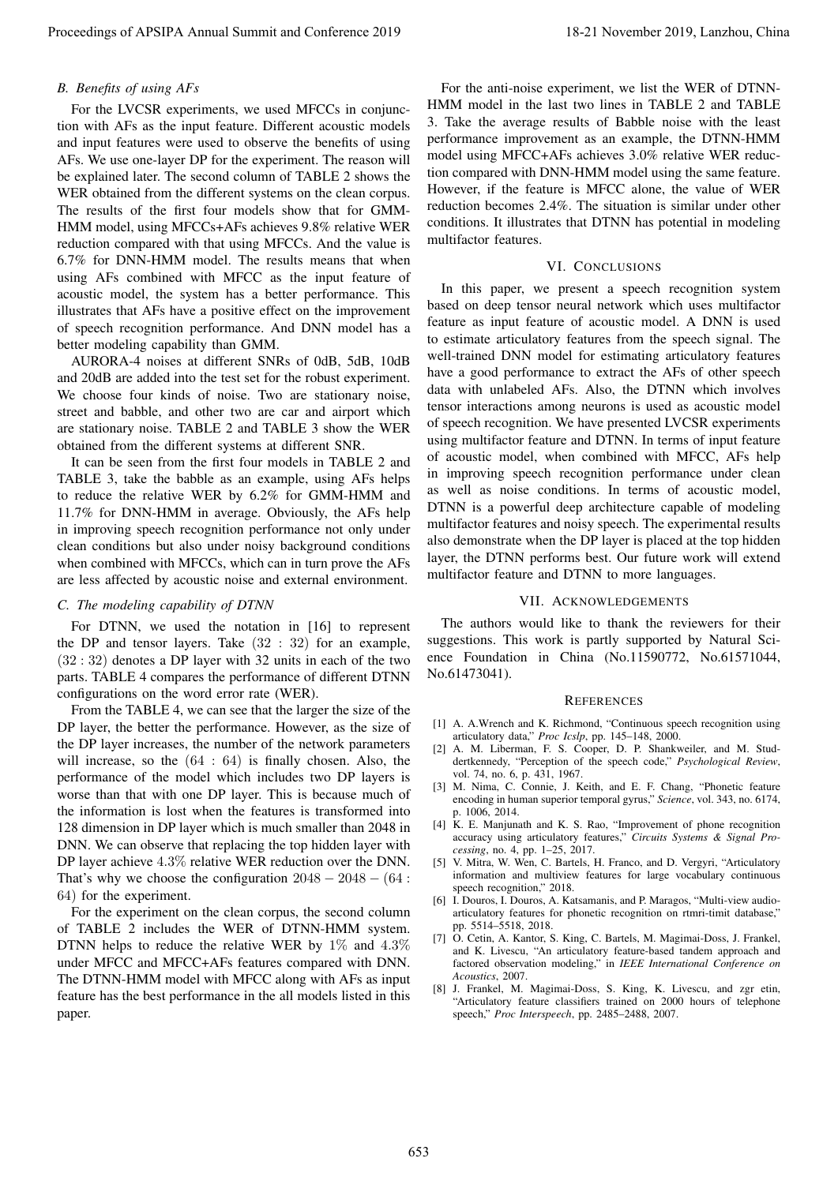## *B. Benefits of using AFs*

For the LVCSR experiments, we used MFCCs in conjunction with AFs as the input feature. Different acoustic models and input features were used to observe the benefits of using AFs. We use one-layer DP for the experiment. The reason will be explained later. The second column of TABLE 2 shows the WER obtained from the different systems on the clean corpus. The results of the first four models show that for GMM-HMM model, using MFCCs+AFs achieves 9.8% relative WER reduction compared with that using MFCCs. And the value is 6.7% for DNN-HMM model. The results means that when using AFs combined with MFCC as the input feature of acoustic model, the system has a better performance. This illustrates that AFs have a positive effect on the improvement of speech recognition performance. And DNN model has a better modeling capability than GMM.

AURORA-4 noises at different SNRs of 0dB, 5dB, 10dB and 20dB are added into the test set for the robust experiment. We choose four kinds of noise. Two are stationary noise, street and babble, and other two are car and airport which are stationary noise. TABLE 2 and TABLE 3 show the WER obtained from the different systems at different SNR.

It can be seen from the first four models in TABLE 2 and TABLE 3, take the babble as an example, using AFs helps to reduce the relative WER by 6.2% for GMM-HMM and 11.7% for DNN-HMM in average. Obviously, the AFs help in improving speech recognition performance not only under clean conditions but also under noisy background conditions when combined with MFCCs, which can in turn prove the AFs are less affected by acoustic noise and external environment.

## *C. The modeling capability of DTNN*

For DTNN, we used the notation in [16] to represent the DP and tensor layers. Take  $(32 : 32)$  for an example, (32 : 32) denotes a DP layer with 32 units in each of the two parts. TABLE 4 compares the performance of different DTNN configurations on the word error rate (WER).

From the TABLE 4, we can see that the larger the size of the DP layer, the better the performance. However, as the size of the DP layer increases, the number of the network parameters will increase, so the (64 : 64) is finally chosen. Also, the performance of the model which includes two DP layers is worse than that with one DP layer. This is because much of the information is lost when the features is transformed into 128 dimension in DP layer which is much smaller than 2048 in DNN. We can observe that replacing the top hidden layer with DP layer achieve 4.3% relative WER reduction over the DNN. That's why we choose the configuration  $2048 - 2048 - (64 :$ 64) for the experiment.

For the experiment on the clean corpus, the second column of TABLE 2 includes the WER of DTNN-HMM system. DTNN helps to reduce the relative WER by  $1\%$  and  $4.3\%$ under MFCC and MFCC+AFs features compared with DNN. The DTNN-HMM model with MFCC along with AFs as input feature has the best performance in the all models listed in this paper.

For the anti-noise experiment, we list the WER of DTNN-HMM model in the last two lines in TABLE 2 and TABLE 3. Take the average results of Babble noise with the least performance improvement as an example, the DTNN-HMM model using MFCC+AFs achieves 3.0% relative WER reduction compared with DNN-HMM model using the same feature. However, if the feature is MFCC alone, the value of WER reduction becomes 2.4%. The situation is similar under other conditions. It illustrates that DTNN has potential in modeling multifactor features.

## VI. CONCLUSIONS

In this paper, we present a speech recognition system based on deep tensor neural network which uses multifactor feature as input feature of acoustic model. A DNN is used to estimate articulatory features from the speech signal. The well-trained DNN model for estimating articulatory features have a good performance to extract the AFs of other speech data with unlabeled AFs. Also, the DTNN which involves tensor interactions among neurons is used as acoustic model of speech recognition. We have presented LVCSR experiments using multifactor feature and DTNN. In terms of input feature of acoustic model, when combined with MFCC, AFs help in improving speech recognition performance under clean as well as noise conditions. In terms of acoustic model, DTNN is a powerful deep architecture capable of modeling multifactor features and noisy speech. The experimental results also demonstrate when the DP layer is placed at the top hidden layer, the DTNN performs best. Our future work will extend multifactor feature and DTNN to more languages. Procedure of APSIPA Annual Summit at China 653 18-21 November 2019, Lanzhou, China 653 18-21 November 2019, Lanzhou, China 653 18-21 November 2019, Lanzhou, China 653 18-21 November 2019, Lanzhou, China 653 18-21 November

### VII. ACKNOWLEDGEMENTS

The authors would like to thank the reviewers for their suggestions. This work is partly supported by Natural Science Foundation in China (No.11590772, No.61571044, No.61473041).

### **REFERENCES**

- [1] A. A.Wrench and K. Richmond, "Continuous speech recognition using articulatory data," *Proc Icslp*, pp. 145–148, 2000.
- [2] A. M. Liberman, F. S. Cooper, D. P. Shankweiler, and M. Studdertkennedy, "Perception of the speech code," *Psychological Review*, vol. 74, no. 6, p. 431, 1967.
- [3] M. Nima, C. Connie, J. Keith, and E. F. Chang, "Phonetic feature encoding in human superior temporal gyrus," *Science*, vol. 343, no. 6174, p. 1006, 2014.
- [4] K. E. Manjunath and K. S. Rao, "Improvement of phone recognition accuracy using articulatory features," *Circuits Systems & Signal Processing*, no. 4, pp. 1–25, 2017.
- [5] V. Mitra, W. Wen, C. Bartels, H. Franco, and D. Vergyri, "Articulatory information and multiview features for large vocabulary continuous speech recognition," 2018.
- [6] I. Douros, I. Douros, A. Katsamanis, and P. Maragos, "Multi-view audioarticulatory features for phonetic recognition on rtmri-timit database," pp. 5514–5518, 2018.
- [7] O. Cetin, A. Kantor, S. King, C. Bartels, M. Magimai-Doss, J. Frankel, and K. Livescu, "An articulatory feature-based tandem approach and factored observation modeling," in *IEEE International Conference on Acoustics*, 2007.
- [8] J. Frankel, M. Magimai-Doss, S. King, K. Livescu, and zgr etin, "Articulatory feature classifiers trained on 2000 hours of telephone speech," *Proc Interspeech*, pp. 2485–2488, 2007.